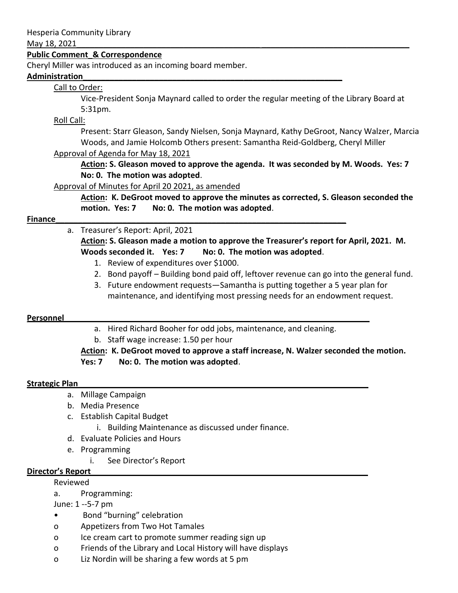#### May 18, 2021

### **Public Comment\_& Correspondence**

Cheryl Miller was introduced as an incoming board member.

#### **Administration\_\_\_\_\_\_\_\_\_\_\_\_\_\_\_\_\_\_\_\_\_\_\_\_\_\_\_\_\_\_\_\_\_\_\_\_\_\_\_\_\_\_\_\_\_\_\_\_\_\_\_\_\_\_\_\_\_\_**

## Call to Order:

Vice-President Sonja Maynard called to order the regular meeting of the Library Board at 5:31pm.

### Roll Call:

Present: Starr Gleason, Sandy Nielsen, Sonja Maynard, Kathy DeGroot, Nancy Walzer, Marcia Woods, and Jamie Holcomb Others present: Samantha Reid-Goldberg, Cheryl Miller Approval of Agenda for May 18, 2021

**Action: S. Gleason moved to approve the agenda. It was seconded by M. Woods. Yes: 7 No: 0. The motion was adopted**.

### Approval of Minutes for April 20 2021, as amended

**Action: K. DeGroot moved to approve the minutes as corrected, S. Gleason seconded the motion. Yes: 7 No: 0. The motion was adopted**.

### **Finance Example 20 and 20 and 20 and 20 and 20 and 20 and 20 and 20 and 20 and 20 and 20 and 20 and 20 and 20 and 20 and 20 and 20 and 20 and 20 and 20 and 20 and 20 and 20 and 20 and 20 and 20 and 20 and 20 and 20 and**

# a. Treasurer's Report: April, 2021

**Action: S. Gleason made a motion to approve the Treasurer's report for April, 2021. M. Woods seconded it. Yes: 7 No: 0. The motion was adopted**.

- 1. Review of expenditures over \$1000.
- 2. Bond payoff Building bond paid off, leftover revenue can go into the general fund.
- 3. Future endowment requests—Samantha is putting together a 5 year plan for maintenance, and identifying most pressing needs for an endowment request.

### **Personnel**

- a. Hired Richard Booher for odd jobs, maintenance, and cleaning.
- b. Staff wage increase: 1.50 per hour

# **Action: K. DeGroot moved to approve a staff increase, N. Walzer seconded the motion. Yes: 7 No: 0. The motion was adopted**.

### **Strategic Plan\_\_\_\_\_\_\_\_\_\_\_\_\_\_\_\_\_\_\_\_\_\_\_\_\_\_\_\_\_\_\_\_\_\_\_\_\_\_\_\_\_\_\_\_\_\_\_\_\_\_\_\_\_\_\_\_\_\_\_\_\_\_\_\_\_**

- a. Millage Campaign
- b. Media Presence
- c. Establish Capital Budget
	- i. Building Maintenance as discussed under finance.
- d. Evaluate Policies and Hours
- e. Programming
	- i. See Director's Report

### **Director's Report\_\_\_\_\_\_\_\_\_\_\_\_\_\_\_\_\_\_\_\_\_\_\_\_\_\_\_\_\_\_\_\_\_\_\_\_\_\_\_\_\_\_\_\_\_\_\_\_\_\_\_\_\_\_\_\_\_\_\_\_\_\_**

Reviewed

a. Programming:

### June: 1 --5-7 pm

- Bond "burning" celebration
- o Appetizers from Two Hot Tamales
- o Ice cream cart to promote summer reading sign up
- o Friends of the Library and Local History will have displays
- o Liz Nordin will be sharing a few words at 5 pm